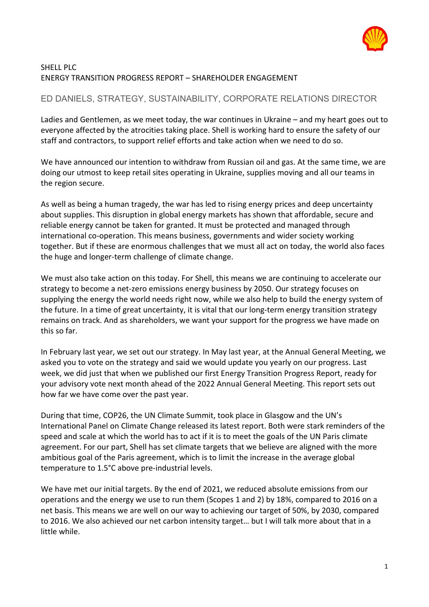

## SHELL PLC ENERGY TRANSITION PROGRESS REPORT – SHAREHOLDER ENGAGEMENT

# ED DANIELS, STRATEGY, SUSTAINABILITY, CORPORATE RELATIONS DIRECTOR

Ladies and Gentlemen, as we meet today, the war continues in Ukraine – and my heart goes out to everyone affected by the atrocities taking place. Shell is working hard to ensure the safety of our staff and contractors, to support relief efforts and take action when we need to do so.

We have announced our intention to withdraw from Russian oil and gas. At the same time, we are doing our utmost to keep retail sites operating in Ukraine, supplies moving and all our teams in the region secure.

As well as being a human tragedy, the war has led to rising energy prices and deep uncertainty about supplies. This disruption in global energy markets has shown that affordable, secure and reliable energy cannot be taken for granted. It must be protected and managed through international co-operation. This means business, governments and wider society working together. But if these are enormous challenges that we must all act on today, the world also faces the huge and longer-term challenge of climate change.

We must also take action on this today. For Shell, this means we are continuing to accelerate our strategy to become a net-zero emissions energy business by 2050. Our strategy focuses on supplying the energy the world needs right now, while we also help to build the energy system of the future. In a time of great uncertainty, it is vital that our long-term energy transition strategy remains on track. And as shareholders, we want your support for the progress we have made on this so far.

In February last year, we set out our strategy. In May last year, at the Annual General Meeting, we asked you to vote on the strategy and said we would update you yearly on our progress. Last week, we did just that when we published our first Energy Transition Progress Report, ready for your advisory vote next month ahead of the 2022 Annual General Meeting. This report sets out how far we have come over the past year.

During that time, COP26, the UN Climate Summit, took place in Glasgow and the UN's International Panel on Climate Change released its latest report. Both were stark reminders of the speed and scale at which the world has to act if it is to meet the goals of the UN Paris climate agreement. For our part, Shell has set climate targets that we believe are aligned with the more ambitious goal of the Paris agreement, which is to limit the increase in the average global temperature to 1.5°C above pre-industrial levels.

We have met our initial targets. By the end of 2021, we reduced absolute emissions from our operations and the energy we use to run them (Scopes 1 and 2) by 18%, compared to 2016 on a net basis. This means we are well on our way to achieving our target of 50%, by 2030, compared to 2016. We also achieved our net carbon intensity target… but I will talk more about that in a little while.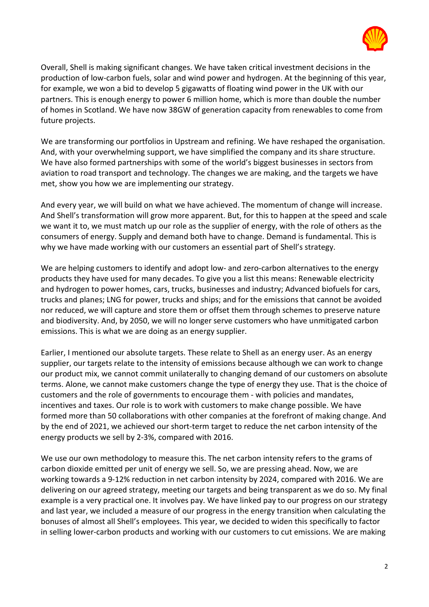

Overall, Shell is making significant changes. We have taken critical investment decisions in the production of low-carbon fuels, solar and wind power and hydrogen. At the beginning of this year, for example, we won a bid to develop 5 gigawatts of floating wind power in the UK with our partners. This is enough energy to power 6 million home, which is more than double the number of homes in Scotland. We have now 38GW of generation capacity from renewables to come from future projects.

We are transforming our portfolios in Upstream and refining. We have reshaped the organisation. And, with your overwhelming support, we have simplified the company and its share structure. We have also formed partnerships with some of the world's biggest businesses in sectors from aviation to road transport and technology. The changes we are making, and the targets we have met, show you how we are implementing our strategy.

And every year, we will build on what we have achieved. The momentum of change will increase. And Shell's transformation will grow more apparent. But, for this to happen at the speed and scale we want it to, we must match up our role as the supplier of energy, with the role of others as the consumers of energy. Supply and demand both have to change. Demand is fundamental. This is why we have made working with our customers an essential part of Shell's strategy.

We are helping customers to identify and adopt low- and zero-carbon alternatives to the energy products they have used for many decades. To give you a list this means: Renewable electricity and hydrogen to power homes, cars, trucks, businesses and industry; Advanced biofuels for cars, trucks and planes; LNG for power, trucks and ships; and for the emissions that cannot be avoided nor reduced, we will capture and store them or offset them through schemes to preserve nature and biodiversity. And, by 2050, we will no longer serve customers who have unmitigated carbon emissions. This is what we are doing as an energy supplier.

Earlier, I mentioned our absolute targets. These relate to Shell as an energy user. As an energy supplier, our targets relate to the intensity of emissions because although we can work to change our product mix, we cannot commit unilaterally to changing demand of our customers on absolute terms. Alone, we cannot make customers change the type of energy they use. That is the choice of customers and the role of governments to encourage them - with policies and mandates, incentives and taxes. Our role is to work with customers to make change possible. We have formed more than 50 collaborations with other companies at the forefront of making change. And by the end of 2021, we achieved our short-term target to reduce the net carbon intensity of the energy products we sell by 2-3%, compared with 2016.

We use our own methodology to measure this. The net carbon intensity refers to the grams of carbon dioxide emitted per unit of energy we sell. So, we are pressing ahead. Now, we are working towards a 9-12% reduction in net carbon intensity by 2024, compared with 2016. We are delivering on our agreed strategy, meeting our targets and being transparent as we do so. My final example is a very practical one. It involves pay. We have linked pay to our progress on our strategy and last year, we included a measure of our progress in the energy transition when calculating the bonuses of almost all Shell's employees. This year, we decided to widen this specifically to factor in selling lower-carbon products and working with our customers to cut emissions. We are making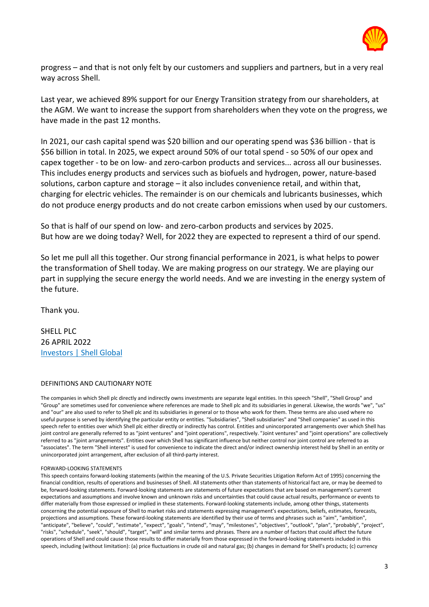

progress – and that is not only felt by our customers and suppliers and partners, but in a very real way across Shell.

Last year, we achieved 89% support for our Energy Transition strategy from our shareholders, at the AGM. We want to increase the support from shareholders when they vote on the progress, we have made in the past 12 months.

In 2021, our cash capital spend was \$20 billion and our operating spend was \$36 billion - that is \$56 billion in total. In 2025, we expect around 50% of our total spend - so 50% of our opex and capex together - to be on low- and zero-carbon products and services... across all our businesses. This includes energy products and services such as biofuels and hydrogen, power, nature-based solutions, carbon capture and storage – it also includes convenience retail, and within that, charging for electric vehicles. The remainder is on our chemicals and lubricants businesses, which do not produce energy products and do not create carbon emissions when used by our customers.

So that is half of our spend on low- and zero-carbon products and services by 2025. But how are we doing today? Well, for 2022 they are expected to represent a third of our spend.

So let me pull all this together. Our strong financial performance in 2021, is what helps to power the transformation of Shell today. We are making progress on our strategy. We are playing our part in supplying the secure energy the world needs. And we are investing in the energy system of the future.

Thank you.

SHELL PLC 26 APRIL 2022 [Investors | Shell Global](https://www.shell.com/investors)

### DEFINITIONS AND CAUTIONARY NOTE

The companies in which Shell plc directly and indirectly owns investments are separate legal entities. In this speech "Shell", "Shell Group" and "Group" are sometimes used for convenience where references are made to Shell plc and its subsidiaries in general. Likewise, the words "we", "us" and "our" are also used to refer to Shell plc and its subsidiaries in general or to those who work for them. These terms are also used where no useful purpose is served by identifying the particular entity or entities. "Subsidiaries", "Shell subsidiaries" and "Shell companies" as used in this speech refer to entities over which Shell plc either directly or indirectly has control. Entities and unincorporated arrangements over which Shell has joint control are generally referred to as "joint ventures" and "joint operations", respectively. "Joint ventures" and "joint operations" are collectively referred to as "joint arrangements". Entities over which Shell has significant influence but neither control nor joint control are referred to as "associates". The term "Shell interest" is used for convenience to indicate the direct and/or indirect ownership interest held by Shell in an entity or unincorporated joint arrangement, after exclusion of all third-party interest.

### FORWARD-LOOKING STATEMENTS

This speech contains forward-looking statements (within the meaning of the U.S. Private Securities Litigation Reform Act of 1995) concerning the financial condition, results of operations and businesses of Shell. All statements other than statements of historical fact are, or may be deemed to be, forward-looking statements. Forward-looking statements are statements of future expectations that are based on management's current expectations and assumptions and involve known and unknown risks and uncertainties that could cause actual results, performance or events to differ materially from those expressed or implied in these statements. Forward-looking statements include, among other things, statements concerning the potential exposure of Shell to market risks and statements expressing management's expectations, beliefs, estimates, forecasts, projections and assumptions. These forward-looking statements are identified by their use of terms and phrases such as "aim", "ambition", "anticipate", "believe", "could", "estimate", "expect", "goals", "intend", "may", "milestones", "objectives", "outlook", "plan", "probably", "project", "risks", "schedule", "seek", "should", "target", "will" and similar terms and phrases. There are a number of factors that could affect the future operations of Shell and could cause those results to differ materially from those expressed in the forward-looking statements included in this speech, including (without limitation): (a) price fluctuations in crude oil and natural gas; (b) changes in demand for Shell's products; (c) currency